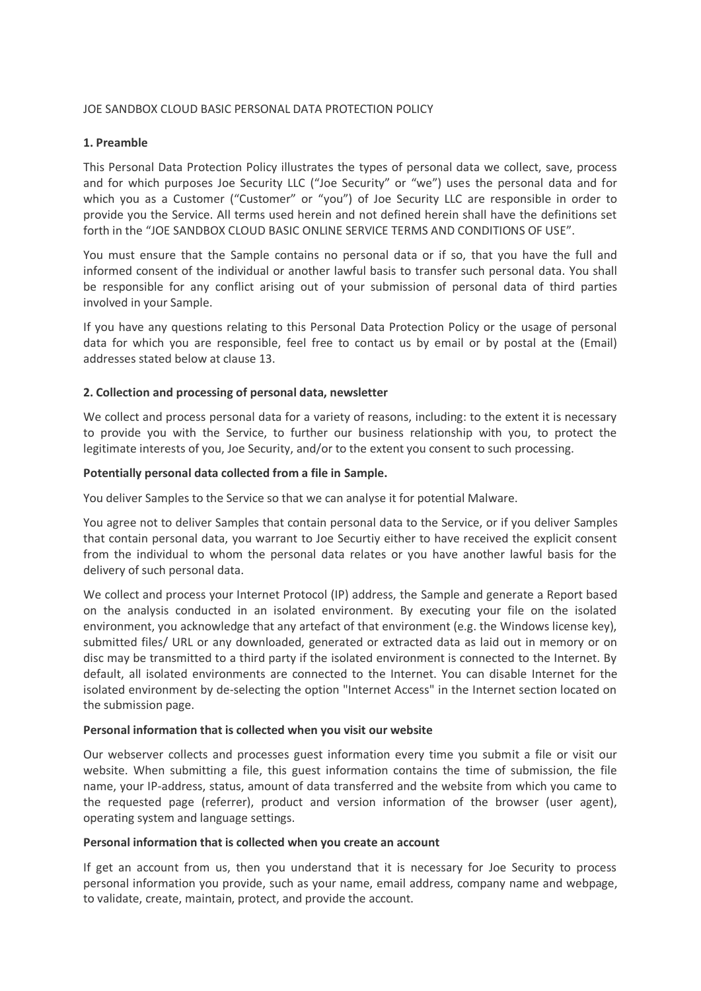# JOE SANDBOX CLOUD BASIC PERSONAL DATA PROTECTION POLICY

### **1. Preamble**

This Personal Data Protection Policy illustrates the types of personal data we collect, save, process and for which purposes Joe Security LLC ("Joe Security" or "we") uses the personal data and for which you as a Customer ("Customer" or "you") of Joe Security LLC are responsible in order to provide you the Service. All terms used herein and not defined herein shall have the definitions set forth in the "JOE SANDBOX CLOUD BASIC ONLINE SERVICE TERMS AND CONDITIONS OF USE".

You must ensure that the Sample contains no personal data or if so, that you have the full and informed consent of the individual or another lawful basis to transfer such personal data. You shall be responsible for any conflict arising out of your submission of personal data of third parties involved in your Sample.

If you have any questions relating to this Personal Data Protection Policy or the usage of personal data for which you are responsible, feel free to contact us by email or by postal at the (Email) addresses stated below at clause 13.

# **2. Collection and processing of personal data, newsletter**

We collect and process personal data for a variety of reasons, including: to the extent it is necessary to provide you with the Service, to further our business relationship with you, to protect the legitimate interests of you, Joe Security, and/or to the extent you consent to such processing.

### **Potentially personal data collected from a file in Sample.**

You deliver Samples to the Service so that we can analyse it for potential Malware.

You agree not to deliver Samples that contain personal data to the Service, or if you deliver Samples that contain personal data, you warrant to Joe Securtiy either to have received the explicit consent from the individual to whom the personal data relates or you have another lawful basis for the delivery of such personal data.

We collect and process your Internet Protocol (IP) address, the Sample and generate a Report based on the analysis conducted in an isolated environment. By executing your file on the isolated environment, you acknowledge that any artefact of that environment (e.g. the Windows license key), submitted files/ URL or any downloaded, generated or extracted data as laid out in memory or on disc may be transmitted to a third party if the isolated environment is connected to the Internet. By default, all isolated environments are connected to the Internet. You can disable Internet for the isolated environment by de-selecting the option "Internet Access" in the Internet section located on the submission page.

### **Personal information that is collected when you visit our website**

Our webserver collects and processes guest information every time you submit a file or visit our website. When submitting a file, this guest information contains the time of submission, the file name, your IP-address, status, amount of data transferred and the website from which you came to the requested page (referrer), product and version information of the browser (user agent), operating system and language settings.

### **Personal information that is collected when you create an account**

If get an account from us, then you understand that it is necessary for Joe Security to process personal information you provide, such as your name, email address, company name and webpage, to validate, create, maintain, protect, and provide the account.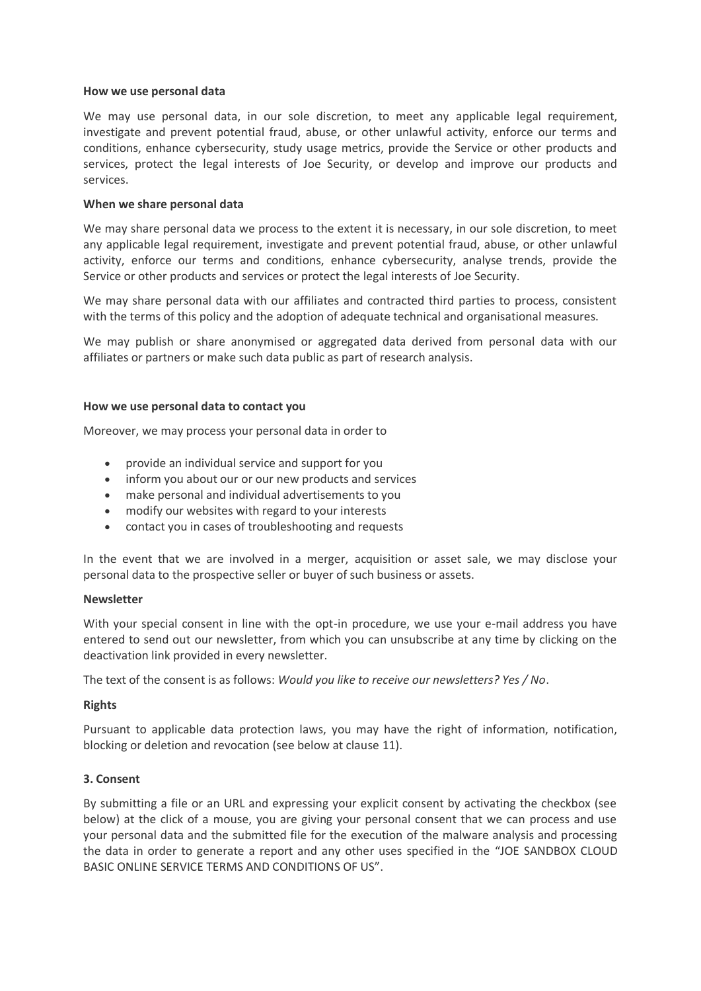### **How we use personal data**

We may use personal data, in our sole discretion, to meet any applicable legal requirement, investigate and prevent potential fraud, abuse, or other unlawful activity, enforce our terms and conditions, enhance cybersecurity, study usage metrics, provide the Service or other products and services, protect the legal interests of Joe Security, or develop and improve our products and services.

## **When we share personal data**

We may share personal data we process to the extent it is necessary, in our sole discretion, to meet any applicable legal requirement, investigate and prevent potential fraud, abuse, or other unlawful activity, enforce our terms and conditions, enhance cybersecurity, analyse trends, provide the Service or other products and services or protect the legal interests of Joe Security.

We may share personal data with our affiliates and contracted third parties to process, consistent with the terms of this policy and the adoption of adequate technical and organisational measures.

We may publish or share anonymised or aggregated data derived from personal data with our affiliates or partners or make such data public as part of research analysis.

### **How we use personal data to contact you**

Moreover, we may process your personal data in order to

- provide an individual service and support for you
- inform you about our or our new products and services
- make personal and individual advertisements to you
- modify our websites with regard to your interests
- contact you in cases of troubleshooting and requests

In the event that we are involved in a merger, acquisition or asset sale, we may disclose your personal data to the prospective seller or buyer of such business or assets.

### **Newsletter**

With your special consent in line with the opt-in procedure, we use your e-mail address you have entered to send out our newsletter, from which you can unsubscribe at any time by clicking on the deactivation link provided in every newsletter.

The text of the consent is as follows: *Would you like to receive our newsletters? Yes / No*.

# **Rights**

Pursuant to applicable data protection laws, you may have the right of information, notification, blocking or deletion and revocation (see below at clause 11).

# **3. Consent**

By submitting a file or an URL and expressing your explicit consent by activating the checkbox (see below) at the click of a mouse, you are giving your personal consent that we can process and use your personal data and the submitted file for the execution of the malware analysis and processing the data in order to generate a report and any other uses specified in the "JOE SANDBOX CLOUD BASIC ONLINE SERVICE TERMS AND CONDITIONS OF US".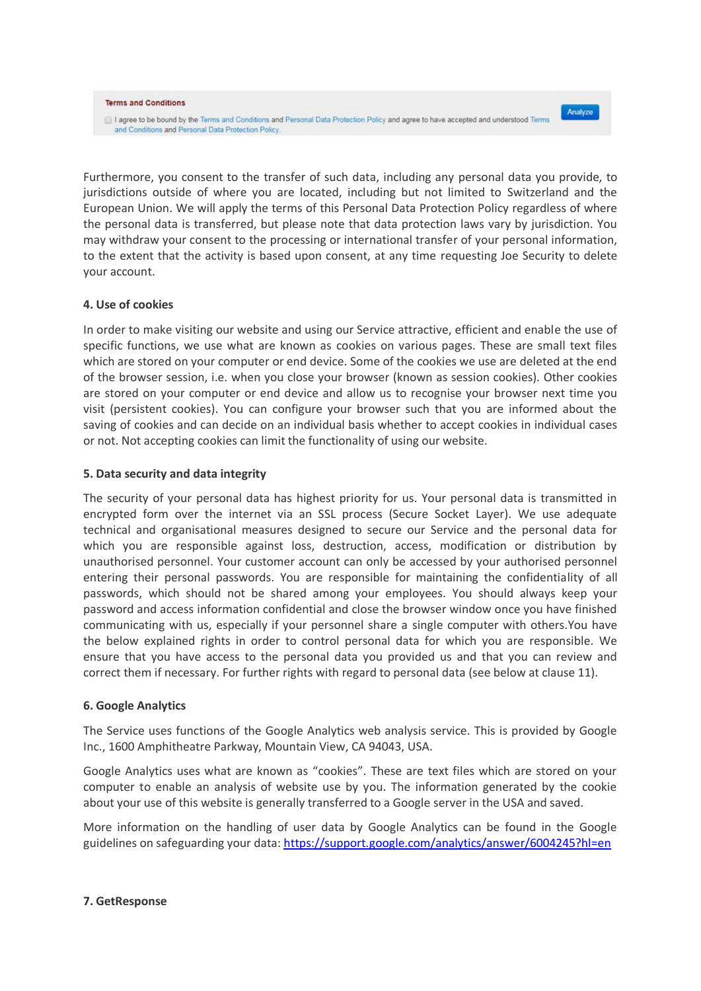#### **Terms and Conditions**

I agree to be bound by the Terms and Conditions and Personal Data Protection Policy and agree to have accepted and understood Terms and Conditions and Personal Data Protection Policy.

Analyze

Furthermore, you consent to the transfer of such data, including any personal data you provide, to jurisdictions outside of where you are located, including but not limited to Switzerland and the European Union. We will apply the terms of this Personal Data Protection Policy regardless of where the personal data is transferred, but please note that data protection laws vary by jurisdiction. You may withdraw your consent to the processing or international transfer of your personal information, to the extent that the activity is based upon consent, at any time requesting Joe Security to delete your account.

### **4. Use of cookies**

In order to make visiting our website and using our Service attractive, efficient and enable the use of specific functions, we use what are known as cookies on various pages. These are small text files which are stored on your computer or end device. Some of the cookies we use are deleted at the end of the browser session, i.e. when you close your browser (known as session cookies). Other cookies are stored on your computer or end device and allow us to recognise your browser next time you visit (persistent cookies). You can configure your browser such that you are informed about the saving of cookies and can decide on an individual basis whether to accept cookies in individual cases or not. Not accepting cookies can limit the functionality of using our website.

### **5. Data security and data integrity**

The security of your personal data has highest priority for us. Your personal data is transmitted in encrypted form over the internet via an SSL process (Secure Socket Layer). We use adequate technical and organisational measures designed to secure our Service and the personal data for which you are responsible against loss, destruction, access, modification or distribution by unauthorised personnel. Your customer account can only be accessed by your authorised personnel entering their personal passwords. You are responsible for maintaining the confidentiality of all passwords, which should not be shared among your employees. You should always keep your password and access information confidential and close the browser window once you have finished communicating with us, especially if your personnel share a single computer with others.You have the below explained rights in order to control personal data for which you are responsible. We ensure that you have access to the personal data you provided us and that you can review and correct them if necessary. For further rights with regard to personal data (see below at clause 11).

### **6. Google Analytics**

The Service uses functions of the Google Analytics web analysis service. This is provided by Google Inc., 1600 Amphitheatre Parkway, Mountain View, CA 94043, USA.

Google Analytics uses what are known as "cookies". These are text files which are stored on your computer to enable an analysis of website use by you. The information generated by the cookie about your use of this website is generally transferred to a Google server in the USA and saved.

More information on the handling of user data by Google Analytics can be found in the Google guidelines on safeguarding your data:<https://support.google.com/analytics/answer/6004245?hl=en>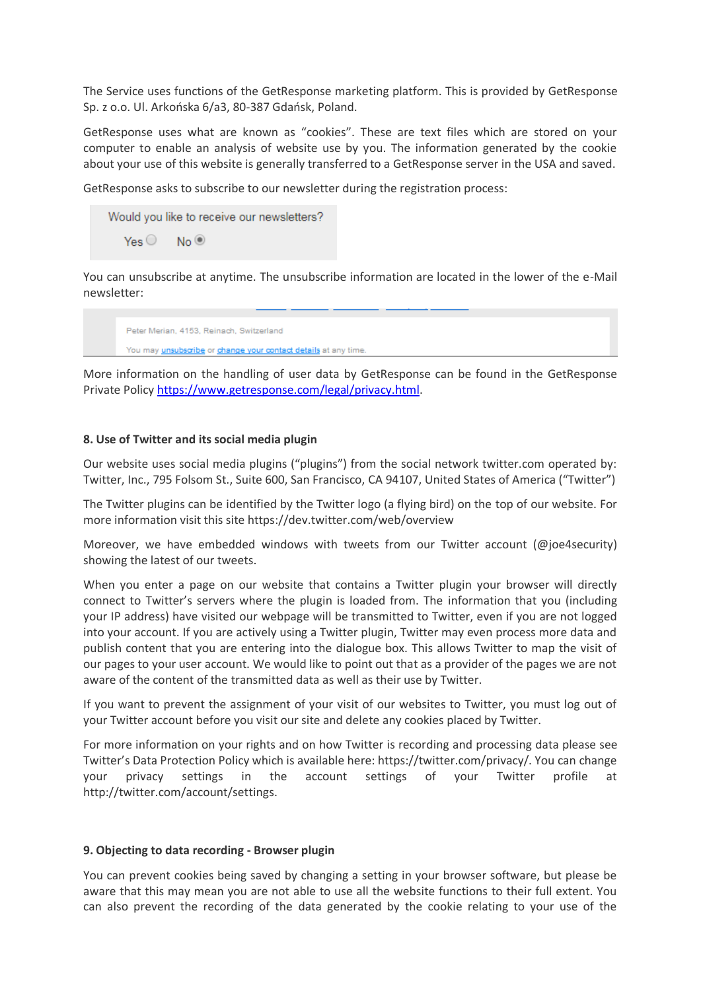The Service uses functions of the GetResponse marketing platform. This is provided by GetResponse Sp. z o.o. Ul. Arkońska 6/a3, 80-387 Gdańsk, Poland.

GetResponse uses what are known as "cookies". These are text files which are stored on your computer to enable an analysis of website use by you. The information generated by the cookie about your use of this website is generally transferred to a GetResponse server in the USA and saved.

GetResponse asks to subscribe to our newsletter during the registration process:



You can unsubscribe at anytime. The unsubscribe information are located in the lower of the e-Mail newsletter:

Peter Merian, 4153, Reinach, Switzerland You may unsubscribe or change your contact details at any time

More information on the handling of user data by GetResponse can be found in the GetResponse Private Policy [https://www.getresponse.com/legal/privacy.html.](https://www.getresponse.com/legal/privacy.html)

### **8. Use of Twitter and its social media plugin**

Our website uses social media plugins ("plugins") from the social network twitter.com operated by: Twitter, Inc., 795 Folsom St., Suite 600, San Francisco, CA 94107, United States of America ("Twitter")

The Twitter plugins can be identified by the Twitter logo (a flying bird) on the top of our website. For more information visit this site https://dev.twitter.com/web/overview

Moreover, we have embedded windows with tweets from our Twitter account (@joe4security) showing the latest of our tweets.

When you enter a page on our website that contains a Twitter plugin your browser will directly connect to Twitter's servers where the plugin is loaded from. The information that you (including your IP address) have visited our webpage will be transmitted to Twitter, even if you are not logged into your account. If you are actively using a Twitter plugin, Twitter may even process more data and publish content that you are entering into the dialogue box. This allows Twitter to map the visit of our pages to your user account. We would like to point out that as a provider of the pages we are not aware of the content of the transmitted data as well as their use by Twitter.

If you want to prevent the assignment of your visit of our websites to Twitter, you must log out of your Twitter account before you visit our site and delete any cookies placed by Twitter.

For more information on your rights and on how Twitter is recording and processing data please see Twitter's Data Protection Policy which is available here: https://twitter.com/privacy/. You can change your privacy settings in the account settings of your Twitter profile at http://twitter.com/account/settings.

# **9. Objecting to data recording - Browser plugin**

You can prevent cookies being saved by changing a setting in your browser software, but please be aware that this may mean you are not able to use all the website functions to their full extent. You can also prevent the recording of the data generated by the cookie relating to your use of the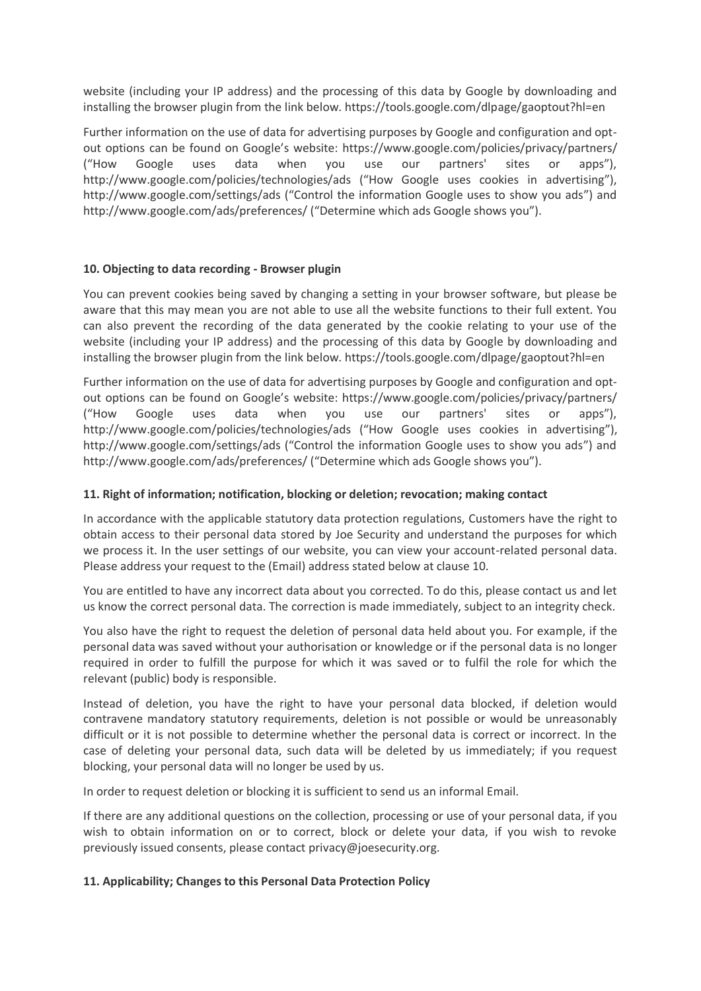website (including your IP address) and the processing of this data by Google by downloading and installing the browser plugin from the link below. https://tools.google.com/dlpage/gaoptout?hl=en

Further information on the use of data for advertising purposes by Google and configuration and optout options can be found on Google's website: https://www.google.com/policies/privacy/partners/ ("How Google uses data when you use our partners' sites or apps"), http://www.google.com/policies/technologies/ads ("How Google uses cookies in advertising"), http://www.google.com/settings/ads ("Control the information Google uses to show you ads") and http://www.google.com/ads/preferences/ ("Determine which ads Google shows you").

# **10. Objecting to data recording - Browser plugin**

You can prevent cookies being saved by changing a setting in your browser software, but please be aware that this may mean you are not able to use all the website functions to their full extent. You can also prevent the recording of the data generated by the cookie relating to your use of the website (including your IP address) and the processing of this data by Google by downloading and installing the browser plugin from the link below. https://tools.google.com/dlpage/gaoptout?hl=en

Further information on the use of data for advertising purposes by Google and configuration and optout options can be found on Google's website: https://www.google.com/policies/privacy/partners/ ("How Google uses data when you use our partners' sites or apps"), http://www.google.com/policies/technologies/ads ("How Google uses cookies in advertising"), http://www.google.com/settings/ads ("Control the information Google uses to show you ads") and http://www.google.com/ads/preferences/ ("Determine which ads Google shows you").

# **11. Right of information; notification, blocking or deletion; revocation; making contact**

In accordance with the applicable statutory data protection regulations, Customers have the right to obtain access to their personal data stored by Joe Security and understand the purposes for which we process it. In the user settings of our website, you can view your account-related personal data. Please address your request to the (Email) address stated below at clause 10.

You are entitled to have any incorrect data about you corrected. To do this, please contact us and let us know the correct personal data. The correction is made immediately, subject to an integrity check.

You also have the right to request the deletion of personal data held about you. For example, if the personal data was saved without your authorisation or knowledge or if the personal data is no longer required in order to fulfill the purpose for which it was saved or to fulfil the role for which the relevant (public) body is responsible.

Instead of deletion, you have the right to have your personal data blocked, if deletion would contravene mandatory statutory requirements, deletion is not possible or would be unreasonably difficult or it is not possible to determine whether the personal data is correct or incorrect. In the case of deleting your personal data, such data will be deleted by us immediately; if you request blocking, your personal data will no longer be used by us.

In order to request deletion or blocking it is sufficient to send us an informal Email.

If there are any additional questions on the collection, processing or use of your personal data, if you wish to obtain information on or to correct, block or delete your data, if you wish to revoke previously issued consents, please contact privacy@joesecurity.org.

# **11. Applicability; Changes to this Personal Data Protection Policy**